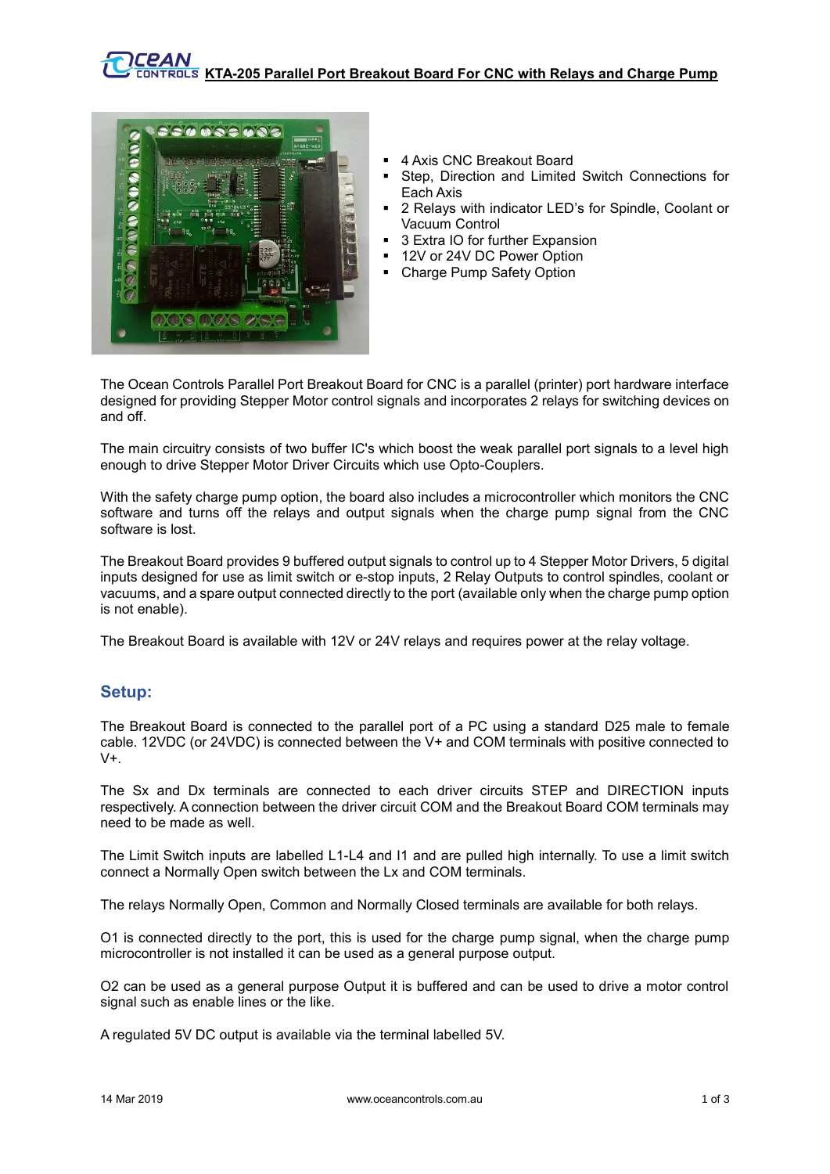

- 4 Axis CNC Breakout Board
- Step, Direction and Limited Switch Connections for Each Axis
- 2 Relays with indicator LED's for Spindle, Coolant or Vacuum Control
- 3 Extra IO for further Expansion
- 12V or 24V DC Power Option
- Charge Pump Safety Option

The Ocean Controls Parallel Port Breakout Board for CNC is a parallel (printer) port hardware interface designed for providing Stepper Motor control signals and incorporates 2 relays for switching devices on and off.

The main circuitry consists of two buffer IC's which boost the weak parallel port signals to a level high enough to drive Stepper Motor Driver Circuits which use Opto-Couplers.

With the safety charge pump option, the board also includes a microcontroller which monitors the CNC software and turns off the relays and output signals when the charge pump signal from the CNC software is lost.

The Breakout Board provides 9 buffered output signals to control up to 4 Stepper Motor Drivers, 5 digital inputs designed for use as limit switch or e-stop inputs, 2 Relay Outputs to control spindles, coolant or vacuums, and a spare output connected directly to the port (available only when the charge pump option is not enable).

The Breakout Board is available with 12V or 24V relays and requires power at the relay voltage.

## **Setup:**

The Breakout Board is connected to the parallel port of a PC using a standard D25 male to female cable. 12VDC (or 24VDC) is connected between the V+ and COM terminals with positive connected to  $V_{+}$ 

The Sx and Dx terminals are connected to each driver circuits STEP and DIRECTION inputs respectively. A connection between the driver circuit COM and the Breakout Board COM terminals may need to be made as well.

The Limit Switch inputs are labelled L1-L4 and I1 and are pulled high internally. To use a limit switch connect a Normally Open switch between the Lx and COM terminals.

The relays Normally Open, Common and Normally Closed terminals are available for both relays.

O1 is connected directly to the port, this is used for the charge pump signal, when the charge pump microcontroller is not installed it can be used as a general purpose output.

O2 can be used as a general purpose Output it is buffered and can be used to drive a motor control signal such as enable lines or the like.

A regulated 5V DC output is available via the terminal labelled 5V.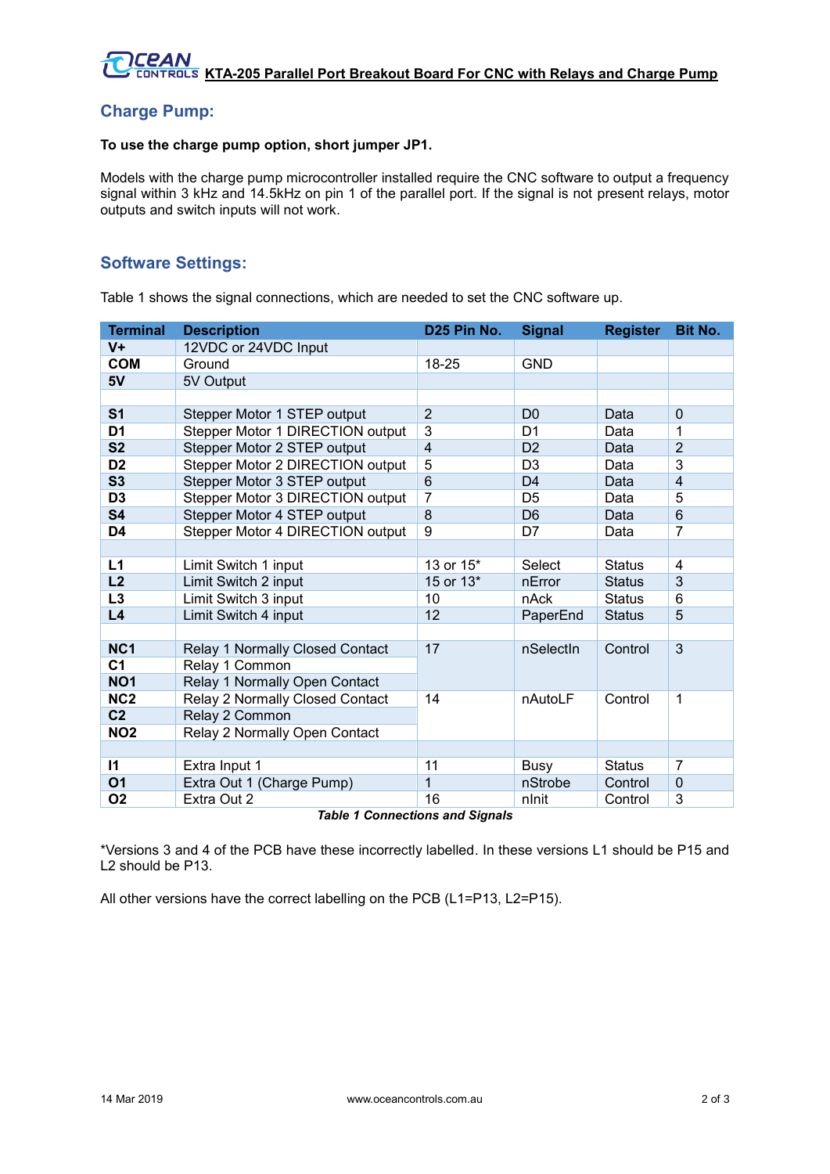# **Charge Pump:**

#### **To use the charge pump option, short jumper JP1.**

Models with the charge pump microcontroller installed require the CNC software to output a frequency signal within 3 kHz and 14.5kHz on pin 1 of the parallel port. If the signal is not present relays, motor outputs and switch inputs will not work.

## **Software Settings:**

Table 1 shows the signal connections, which are needed to set the CNC software up.

| <b>Terminal</b> | <b>Description</b>                             | D25 Pin No.     | <b>Signal</b>  | <b>Register</b> | <b>Bit No.</b> |
|-----------------|------------------------------------------------|-----------------|----------------|-----------------|----------------|
| $V +$           | 12VDC or 24VDC Input                           |                 |                |                 |                |
| <b>COM</b>      | Ground                                         | 18-25           | <b>GND</b>     |                 |                |
| 5V              | 5V Output                                      |                 |                |                 |                |
|                 |                                                |                 |                |                 |                |
| S <sub>1</sub>  | Stepper Motor 1 STEP output                    | $\overline{2}$  | D <sub>0</sub> | Data            | $\mathbf 0$    |
| D <sub>1</sub>  | Stepper Motor 1 DIRECTION output               | 3               | D <sub>1</sub> | Data            | 1              |
| S <sub>2</sub>  | Stepper Motor 2 STEP output                    | $\overline{4}$  | D <sub>2</sub> | Data            | $\overline{2}$ |
| D <sub>2</sub>  | Stepper Motor 2 DIRECTION output               | 5               | D <sub>3</sub> | Data            | 3              |
| S <sub>3</sub>  | Stepper Motor 3 STEP output                    | $6\phantom{1}6$ | D <sub>4</sub> | Data            | $\overline{4}$ |
| D <sub>3</sub>  | Stepper Motor 3 DIRECTION output               | $\overline{7}$  | D <sub>5</sub> | Data            | 5              |
| <b>S4</b>       | Stepper Motor 4 STEP output                    | 8               | D <sub>6</sub> | Data            | 6              |
| D <sub>4</sub>  | Stepper Motor 4 DIRECTION output               | 9               | D7             | Data            | 7              |
|                 |                                                |                 |                |                 |                |
| L1              | Limit Switch 1 input                           | 13 or 15*       | Select         | <b>Status</b>   | 4              |
| L2              | Limit Switch 2 input                           | 15 or 13*       | nError         | <b>Status</b>   | 3              |
| L3              | Limit Switch 3 input                           | 10              | nAck           | <b>Status</b>   | 6              |
| L4              | Limit Switch 4 input                           | 12              | PaperEnd       | <b>Status</b>   | 5              |
|                 |                                                |                 |                |                 |                |
| NC <sub>1</sub> | Relay 1 Normally Closed Contact                | 17              | nSelectin      | Control         | 3              |
| C <sub>1</sub>  | Relay 1 Common                                 |                 |                |                 |                |
| NO <sub>1</sub> | Relay 1 Normally Open Contact                  |                 |                |                 |                |
| NC <sub>2</sub> | Relay 2 Normally Closed Contact                | 14              | nAutoLF        | Control         | 1              |
| C <sub>2</sub>  | Relay 2 Common                                 |                 |                |                 |                |
| <b>NO2</b>      | Relay 2 Normally Open Contact                  |                 |                |                 |                |
|                 |                                                |                 |                |                 |                |
| $\mathbf{I}$    | Extra Input 1                                  | 11              | Busy           | <b>Status</b>   | 7              |
| <b>O1</b>       | Extra Out 1 (Charge Pump)                      | 1               | nStrobe        | Control         | $\mathbf 0$    |
| <b>O2</b>       | Extra Out 2<br>Toble 1 Connections and Cinnala | 16              | nlnit          | Control         | 3              |

*Table 1 Connections and Signals*

\*Versions 3 and 4 of the PCB have these incorrectly labelled. In these versions L1 should be P15 and L2 should be P13.

All other versions have the correct labelling on the PCB (L1=P13, L2=P15).